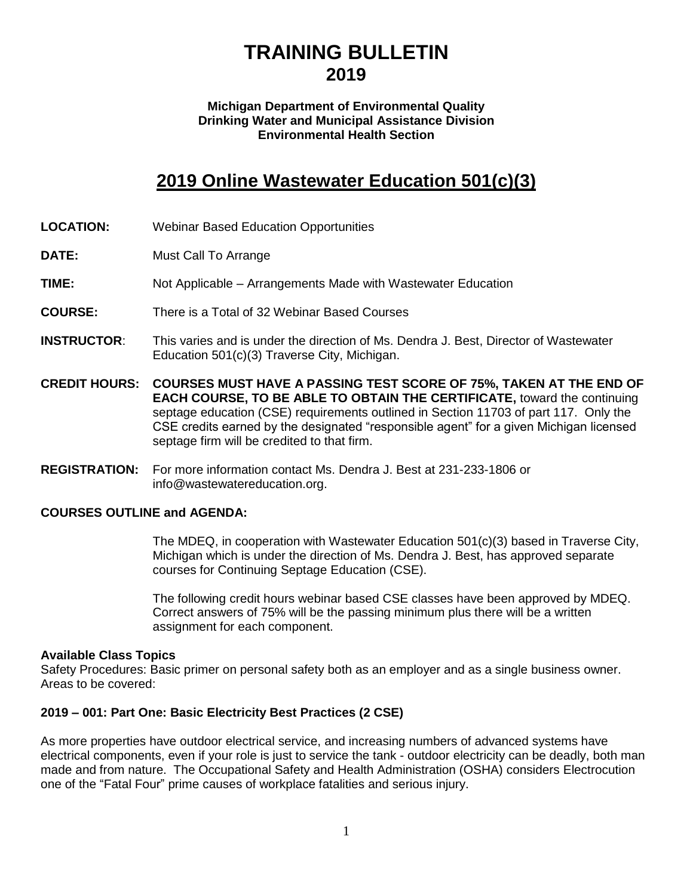# **TRAINING BULLETIN 2019**

#### **Michigan Department of Environmental Quality Drinking Water and Municipal Assistance Division Environmental Health Section**

## **2019 Online Wastewater Education 501(c)(3)**

- **LOCATION:** Webinar Based Education Opportunities
- **DATE:** Must Call To Arrange
- **TIME:** Not Applicable Arrangements Made with Wastewater Education
- **COURSE:** There is a Total of 32 Webinar Based Courses
- **INSTRUCTOR**: This varies and is under the direction of Ms. Dendra J. Best, Director of Wastewater Education 501(c)(3) Traverse City, Michigan.
- **CREDIT HOURS: COURSES MUST HAVE A PASSING TEST SCORE OF 75%, TAKEN AT THE END OF EACH COURSE, TO BE ABLE TO OBTAIN THE CERTIFICATE,** toward the continuing septage education (CSE) requirements outlined in Section 11703 of part 117. Only the CSE credits earned by the designated "responsible agent" for a given Michigan licensed septage firm will be credited to that firm.
- **REGISTRATION:** For more information contact Ms. Dendra J. Best at 231-233-1806 or info@wastewatereducation.org.

#### **COURSES OUTLINE and AGENDA:**

The MDEQ, in cooperation with Wastewater Education 501(c)(3) based in Traverse City, Michigan which is under the direction of Ms. Dendra J. Best, has approved separate courses for Continuing Septage Education (CSE).

The following credit hours webinar based CSE classes have been approved by MDEQ. Correct answers of 75% will be the passing minimum plus there will be a written assignment for each component.

#### **Available Class Topics**

Safety Procedures: Basic primer on personal safety both as an employer and as a single business owner. Areas to be covered:

#### **2019 – 001: Part One: Basic Electricity Best Practices (2 CSE)**

As more properties have outdoor electrical service, and increasing numbers of advanced systems have electrical components, even if your role is just to service the tank - outdoor electricity can be deadly, both man made and from nature. The Occupational Safety and Health Administration (OSHA) considers Electrocution one of the "Fatal Four" prime causes of workplace fatalities and serious injury.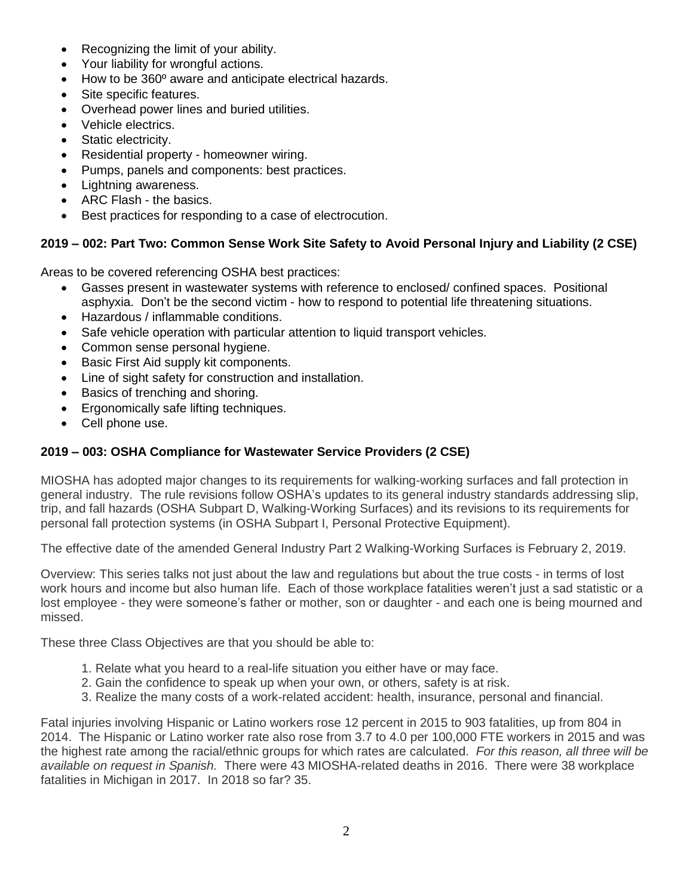- Recognizing the limit of your ability.
- Your liability for wrongful actions.
- How to be 360º aware and anticipate electrical hazards.
- Site specific features.
- Overhead power lines and buried utilities.
- Vehicle electrics.
- Static electricity.
- Residential property homeowner wiring.
- Pumps, panels and components: best practices.
- Lightning awareness.
- ARC Flash the basics.
- Best practices for responding to a case of electrocution.

## **2019 – 002: Part Two: Common Sense Work Site Safety to Avoid Personal Injury and Liability (2 CSE)**

Areas to be covered referencing OSHA best practices:

- Gasses present in wastewater systems with reference to enclosed/ confined spaces. Positional asphyxia. Don't be the second victim - how to respond to potential life threatening situations.
- Hazardous / inflammable conditions.
- Safe vehicle operation with particular attention to liquid transport vehicles.
- Common sense personal hygiene.
- Basic First Aid supply kit components.
- Line of sight safety for construction and installation.
- Basics of trenching and shoring.
- Ergonomically safe lifting techniques.
- Cell phone use.

## **2019 – 003: OSHA Compliance for Wastewater Service Providers (2 CSE)**

MIOSHA has adopted major changes to its requirements for walking-working surfaces and fall protection in general industry. The rule revisions follow OSHA's updates to its general industry standards addressing slip, trip, and fall hazards (OSHA Subpart D, Walking-Working Surfaces) and its revisions to its requirements for personal fall protection systems (in OSHA Subpart I, Personal Protective Equipment).

The effective date of the amended General Industry Part 2 Walking-Working Surfaces is February 2, 2019.

Overview: This series talks not just about the law and regulations but about the true costs - in terms of lost work hours and income but also human life. Each of those workplace fatalities weren't just a sad statistic or a lost employee - they were someone's father or mother, son or daughter - and each one is being mourned and missed.

These three Class Objectives are that you should be able to:

- 1. Relate what you heard to a real-life situation you either have or may face.
- 2. Gain the confidence to speak up when your own, or others, safety is at risk.
- 3. Realize the many costs of a work-related accident: health, insurance, personal and financial.

Fatal injuries involving Hispanic or Latino workers rose 12 percent in 2015 to 903 fatalities, up from 804 in 2014. The Hispanic or Latino worker rate also rose from 3.7 to 4.0 per 100,000 FTE workers in 2015 and was the highest rate among the racial/ethnic groups for which rates are calculated. *For this reason, all three will be available on request in Spanish.* There were 43 MIOSHA-related deaths in 2016. There were 38 workplace fatalities in Michigan in 2017. In 2018 so far? 35.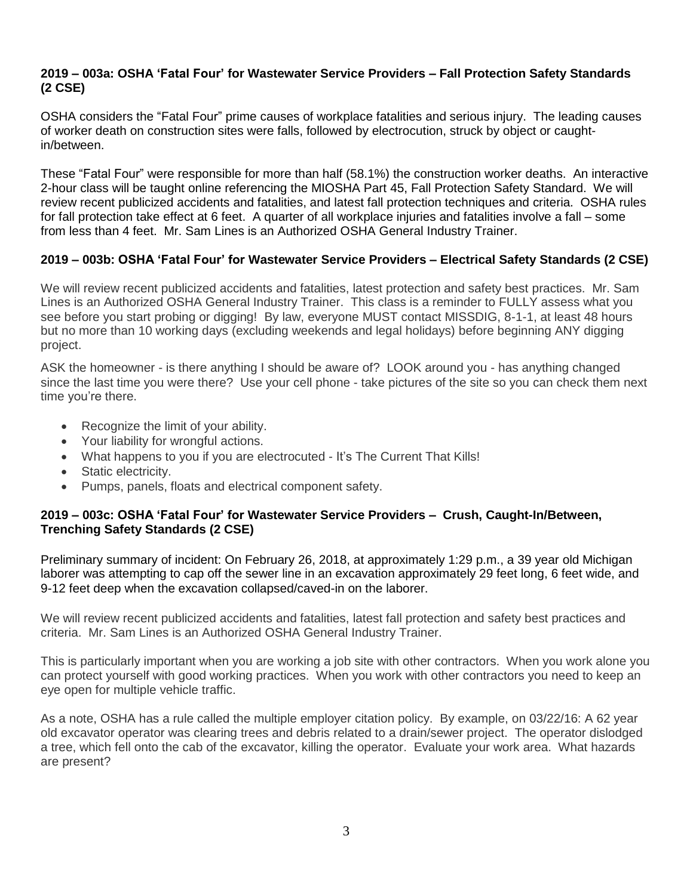#### **2019 – 003a: OSHA 'Fatal Four' for Wastewater Service Providers – Fall Protection Safety Standards (2 CSE)**

OSHA considers the "Fatal Four" prime causes of workplace fatalities and serious injury. The leading causes of worker death on construction sites were falls, followed by electrocution, struck by object or caughtin/between.

These "Fatal Four" were responsible for more than half (58.1%) the construction worker deaths. An interactive 2-hour class will be taught online referencing the MIOSHA Part 45, Fall Protection Safety Standard. We will review recent publicized accidents and fatalities, and latest fall protection techniques and criteria. OSHA rules for fall protection take effect at 6 feet. A quarter of all workplace injuries and fatalities involve a fall – some from less than 4 feet. Mr. Sam Lines is an Authorized OSHA General Industry Trainer.

## **2019 – 003b: OSHA 'Fatal Four' for Wastewater Service Providers – Electrical Safety Standards (2 CSE)**

We will review recent publicized accidents and fatalities, latest protection and safety best practices. Mr. Sam Lines is an Authorized OSHA General Industry Trainer. This class is a reminder to FULLY assess what you see before you start probing or digging! By law, everyone MUST contact MISSDIG, 8-1-1, at least 48 hours but no more than 10 working days (excluding weekends and legal holidays) before beginning ANY digging project.

ASK the homeowner - is there anything I should be aware of? LOOK around you - has anything changed since the last time you were there? Use your cell phone - take pictures of the site so you can check them next time you're there.

- Recognize the limit of your ability.
- Your liability for wrongful actions.
- What happens to you if you are electrocuted It's The Current That Kills!
- Static electricity.
- Pumps, panels, floats and electrical component safety.

#### **2019 – 003c: OSHA 'Fatal Four' for Wastewater Service Providers – Crush, Caught-In/Between, Trenching Safety Standards (2 CSE)**

Preliminary summary of incident: On February 26, 2018, at approximately 1:29 p.m., a 39 year old Michigan laborer was attempting to cap off the sewer line in an excavation approximately 29 feet long, 6 feet wide, and 9-12 feet deep when the excavation collapsed/caved-in on the laborer.

We will review recent publicized accidents and fatalities, latest fall protection and safety best practices and criteria. Mr. Sam Lines is an Authorized OSHA General Industry Trainer.

This is particularly important when you are working a job site with other contractors. When you work alone you can protect yourself with good working practices. When you work with other contractors you need to keep an eye open for multiple vehicle traffic.

As a note, OSHA has a rule called the multiple employer citation policy. By example, on 03/22/16: A 62 year old excavator operator was clearing trees and debris related to a drain/sewer project. The operator dislodged a tree, which fell onto the cab of the excavator, killing the operator. Evaluate your work area. What hazards are present?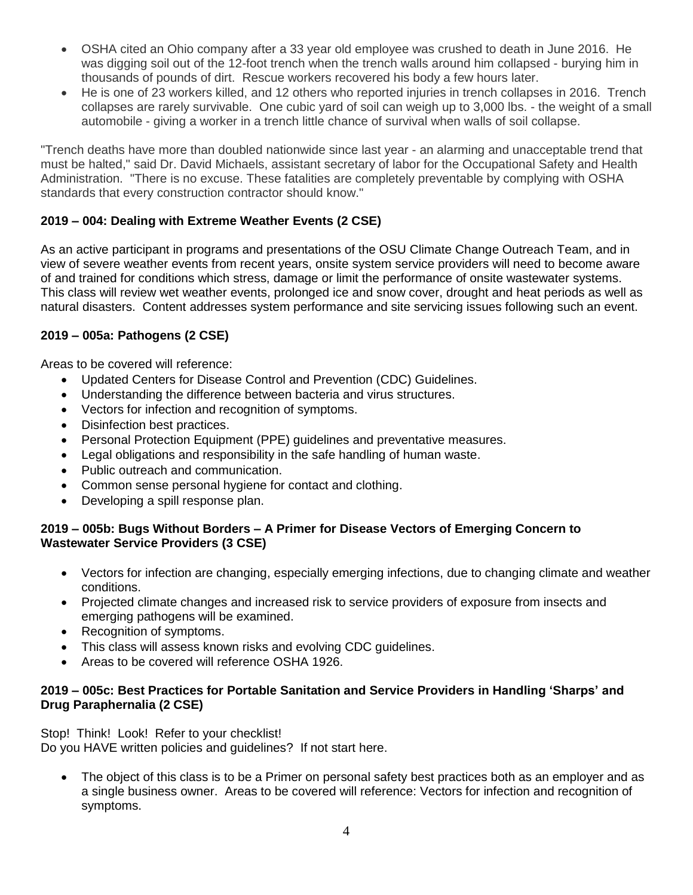- OSHA cited an Ohio company after a 33 year old employee was crushed to death in June 2016. He was digging soil out of the 12-foot trench when the trench walls around him collapsed - burying him in thousands of pounds of dirt. Rescue workers recovered his body a few hours later.
- He is one of 23 workers killed, and 12 others who reported injuries in trench collapses in 2016. Trench collapses are rarely survivable. One cubic yard of soil can weigh up to 3,000 lbs. - the weight of a small automobile - giving a worker in a trench little chance of survival when walls of soil collapse.

"Trench deaths have more than doubled nationwide since last year - an alarming and unacceptable trend that must be halted," said Dr. David Michaels, assistant secretary of labor for the Occupational Safety and Health Administration. "There is no excuse. These fatalities are completely preventable by complying with OSHA standards that every construction contractor should know."

## **2019 – 004: Dealing with Extreme Weather Events (2 CSE)**

As an active participant in programs and presentations of the OSU Climate Change Outreach Team, and in view of severe weather events from recent years, onsite system service providers will need to become aware of and trained for conditions which stress, damage or limit the performance of onsite wastewater systems. This class will review wet weather events, prolonged ice and snow cover, drought and heat periods as well as natural disasters. Content addresses system performance and site servicing issues following such an event.

## **2019 – 005a: Pathogens (2 CSE)**

Areas to be covered will reference:

- Updated Centers for Disease Control and Prevention (CDC) Guidelines.
- Understanding the difference between bacteria and virus structures.
- Vectors for infection and recognition of symptoms.
- Disinfection best practices.
- Personal Protection Equipment (PPE) guidelines and preventative measures.
- Legal obligations and responsibility in the safe handling of human waste.
- Public outreach and communication.
- Common sense personal hygiene for contact and clothing.
- Developing a spill response plan.

#### **2019 – 005b: Bugs Without Borders – A Primer for Disease Vectors of Emerging Concern to Wastewater Service Providers (3 CSE)**

- Vectors for infection are changing, especially emerging infections, due to changing climate and weather conditions.
- Projected climate changes and increased risk to service providers of exposure from insects and emerging pathogens will be examined.
- Recognition of symptoms.
- This class will assess known risks and evolving CDC quidelines.
- Areas to be covered will reference OSHA 1926.

#### **2019 – 005c: Best Practices for Portable Sanitation and Service Providers in Handling 'Sharps' and Drug Paraphernalia (2 CSE)**

Stop! Think! Look! Refer to your checklist! Do you HAVE written policies and guidelines? If not start here.

The object of this class is to be a Primer on personal safety best practices both as an employer and as a single business owner. Areas to be covered will reference: Vectors for infection and recognition of symptoms.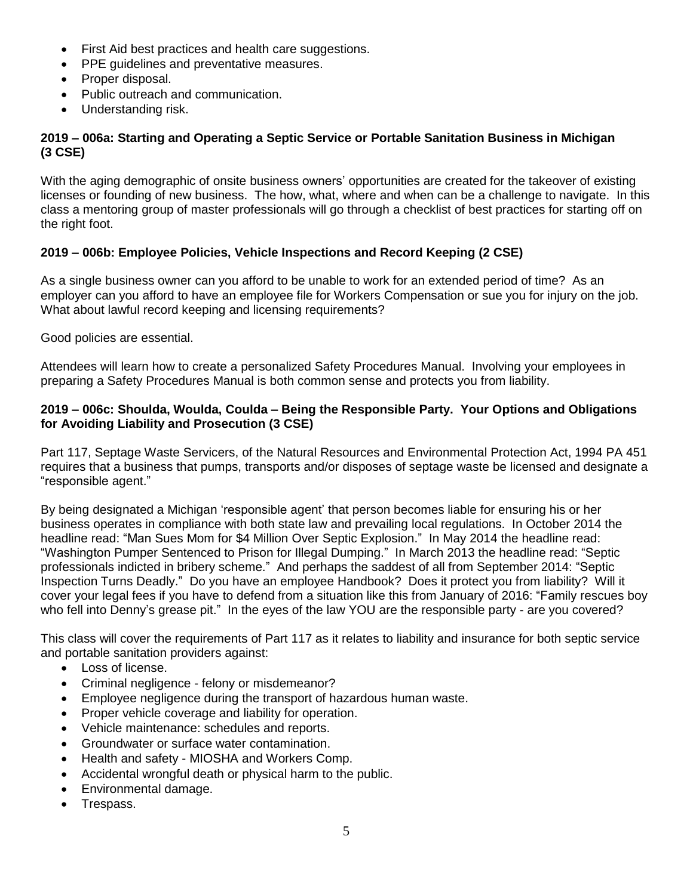- First Aid best practices and health care suggestions.
- PPE guidelines and preventative measures.
- Proper disposal.
- Public outreach and communication.
- Understanding risk.

#### **2019 – 006a: Starting and Operating a Septic Service or Portable Sanitation Business in Michigan (3 CSE)**

With the aging demographic of onsite business owners' opportunities are created for the takeover of existing licenses or founding of new business. The how, what, where and when can be a challenge to navigate. In this class a mentoring group of master professionals will go through a checklist of best practices for starting off on the right foot.

## **2019 – 006b: Employee Policies, Vehicle Inspections and Record Keeping (2 CSE)**

As a single business owner can you afford to be unable to work for an extended period of time? As an employer can you afford to have an employee file for Workers Compensation or sue you for injury on the job. What about lawful record keeping and licensing requirements?

Good policies are essential.

Attendees will learn how to create a personalized Safety Procedures Manual. Involving your employees in preparing a Safety Procedures Manual is both common sense and protects you from liability.

#### **2019 – 006c: Shoulda, Woulda, Coulda – Being the Responsible Party. Your Options and Obligations for Avoiding Liability and Prosecution (3 CSE)**

Part 117, Septage Waste Servicers, of the Natural Resources and Environmental Protection Act, 1994 PA 451 requires that a business that pumps, transports and/or disposes of septage waste be licensed and designate a "responsible agent."

By being designated a Michigan 'responsible agent' that person becomes liable for ensuring his or her business operates in compliance with both state law and prevailing local regulations. In October 2014 the headline read: "Man Sues Mom for \$4 Million Over Septic Explosion." In May 2014 the headline read: "Washington Pumper Sentenced to Prison for Illegal Dumping." In March 2013 the headline read: "Septic professionals indicted in bribery scheme." And perhaps the saddest of all from September 2014: "Septic Inspection Turns Deadly." Do you have an employee Handbook? Does it protect you from liability? Will it cover your legal fees if you have to defend from a situation like this from January of 2016: "Family rescues boy who fell into Denny's grease pit." In the eyes of the law YOU are the responsible party - are you covered?

This class will cover the requirements of Part 117 as it relates to liability and insurance for both septic service and portable sanitation providers against:

- Loss of license.
- Criminal negligence felony or misdemeanor?
- Employee negligence during the transport of hazardous human waste.
- Proper vehicle coverage and liability for operation.
- Vehicle maintenance: schedules and reports.
- Groundwater or surface water contamination.
- Health and safety MIOSHA and Workers Comp.
- Accidental wrongful death or physical harm to the public.
- Environmental damage.
- Trespass.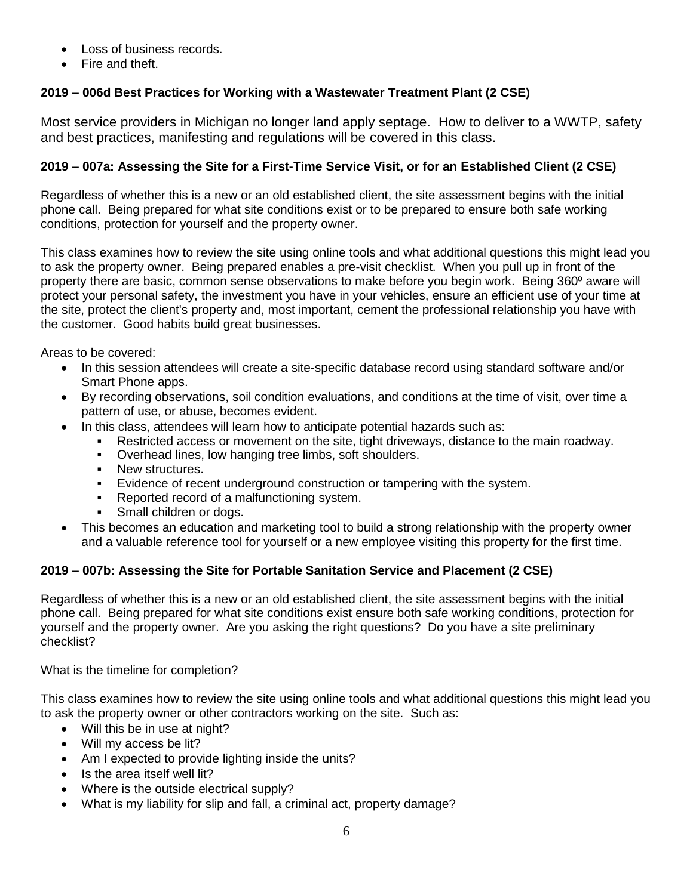- Loss of business records.
- Fire and theft.

## **2019 – 006d Best Practices for Working with a Wastewater Treatment Plant (2 CSE)**

Most service providers in Michigan no longer land apply septage. How to deliver to a WWTP, safety and best practices, manifesting and regulations will be covered in this class.

## 2019 - 007a: Assessing the Site for a First-Time Service Visit, or for an Established Client (2 CSE)

Regardless of whether this is a new or an old established client, the site assessment begins with the initial phone call. Being prepared for what site conditions exist or to be prepared to ensure both safe working conditions, protection for yourself and the property owner.

This class examines how to review the site using online tools and what additional questions this might lead you to ask the property owner. Being prepared enables a pre-visit checklist. When you pull up in front of the property there are basic, common sense observations to make before you begin work. Being 360º aware will protect your personal safety, the investment you have in your vehicles, ensure an efficient use of your time at the site, protect the client's property and, most important, cement the professional relationship you have with the customer. Good habits build great businesses.

Areas to be covered:

- In this session attendees will create a site-specific database record using standard software and/or Smart Phone apps.
- By recording observations, soil condition evaluations, and conditions at the time of visit, over time a pattern of use, or abuse, becomes evident.
	- In this class, attendees will learn how to anticipate potential hazards such as:
		- Restricted access or movement on the site, tight driveways, distance to the main roadway.
		- Overhead lines, low hanging tree limbs, soft shoulders.
		- New structures.
		- Evidence of recent underground construction or tampering with the system.
		- Reported record of a malfunctioning system.
		- Small children or dogs.
- This becomes an education and marketing tool to build a strong relationship with the property owner and a valuable reference tool for yourself or a new employee visiting this property for the first time.

#### **2019 – 007b: Assessing the Site for Portable Sanitation Service and Placement (2 CSE)**

Regardless of whether this is a new or an old established client, the site assessment begins with the initial phone call. Being prepared for what site conditions exist ensure both safe working conditions, protection for yourself and the property owner. Are you asking the right questions? Do you have a site preliminary checklist?

What is the timeline for completion?

This class examines how to review the site using online tools and what additional questions this might lead you to ask the property owner or other contractors working on the site. Such as:

- Will this be in use at night?
- Will my access be lit?
- Am I expected to provide lighting inside the units?
- Is the area itself well lit?
- Where is the outside electrical supply?
- What is my liability for slip and fall, a criminal act, property damage?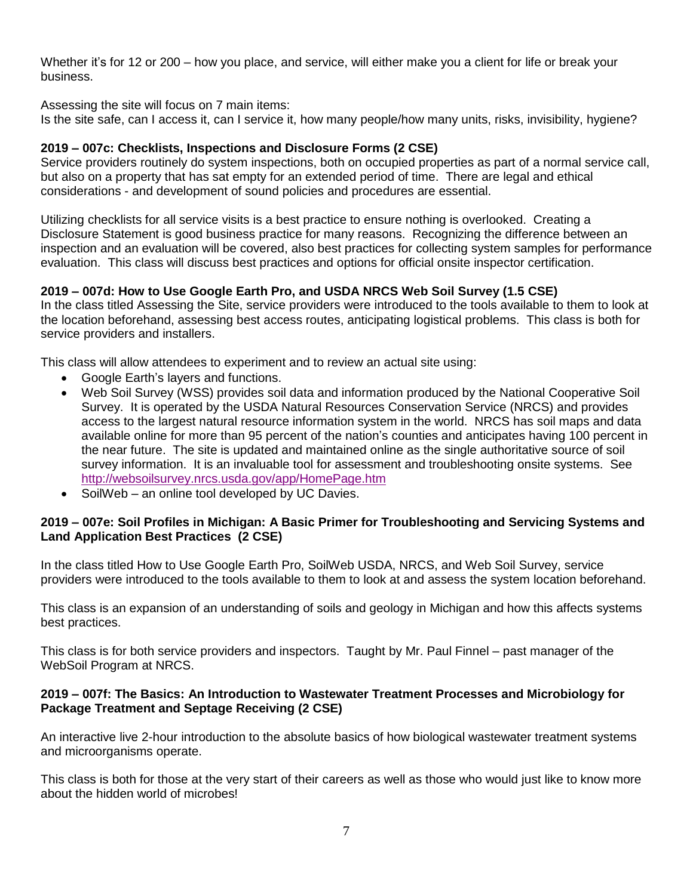Whether it's for 12 or 200 – how you place, and service, will either make you a client for life or break your business.

Assessing the site will focus on 7 main items:

Is the site safe, can I access it, can I service it, how many people/how many units, risks, invisibility, hygiene?

#### **2019 – 007c: Checklists, Inspections and Disclosure Forms (2 CSE)**

Service providers routinely do system inspections, both on occupied properties as part of a normal service call, but also on a property that has sat empty for an extended period of time. There are legal and ethical considerations - and development of sound policies and procedures are essential.

Utilizing checklists for all service visits is a best practice to ensure nothing is overlooked. Creating a Disclosure Statement is good business practice for many reasons. Recognizing the difference between an inspection and an evaluation will be covered, also best practices for collecting system samples for performance evaluation. This class will discuss best practices and options for official onsite inspector certification.

#### **2019 – 007d: How to Use Google Earth Pro, and USDA NRCS Web Soil Survey (1.5 CSE)**

In the class titled Assessing the Site, service providers were introduced to the tools available to them to look at the location beforehand, assessing best access routes, anticipating logistical problems. This class is both for service providers and installers.

This class will allow attendees to experiment and to review an actual site using:

- Google Earth's layers and functions.
- Web Soil Survey (WSS) provides soil data and information produced by the National Cooperative Soil Survey. It is operated by the USDA Natural Resources Conservation Service (NRCS) and provides access to the largest natural resource information system in the world. NRCS has soil maps and data available online for more than 95 percent of the nation's counties and anticipates having 100 percent in the near future. The site is updated and maintained online as the single authoritative source of soil survey information. It is an invaluable tool for assessment and troubleshooting onsite systems. See <http://websoilsurvey.nrcs.usda.gov/app/HomePage.htm>
- SoilWeb an online tool developed by UC Davies.

#### **2019 – 007e: Soil Profiles in Michigan: A Basic Primer for Troubleshooting and Servicing Systems and Land Application Best Practices (2 CSE)**

In the class titled How to Use Google Earth Pro, SoilWeb USDA, NRCS, and Web Soil Survey, service providers were introduced to the tools available to them to look at and assess the system location beforehand.

This class is an expansion of an understanding of soils and geology in Michigan and how this affects systems best practices.

This class is for both service providers and inspectors. Taught by Mr. Paul Finnel – past manager of the WebSoil Program at NRCS.

#### **2019 – 007f: The Basics: An Introduction to Wastewater Treatment Processes and Microbiology for Package Treatment and Septage Receiving (2 CSE)**

An interactive live 2-hour introduction to the absolute basics of how biological wastewater treatment systems and microorganisms operate.

This class is both for those at the very start of their careers as well as those who would just like to know more about the hidden world of microbes!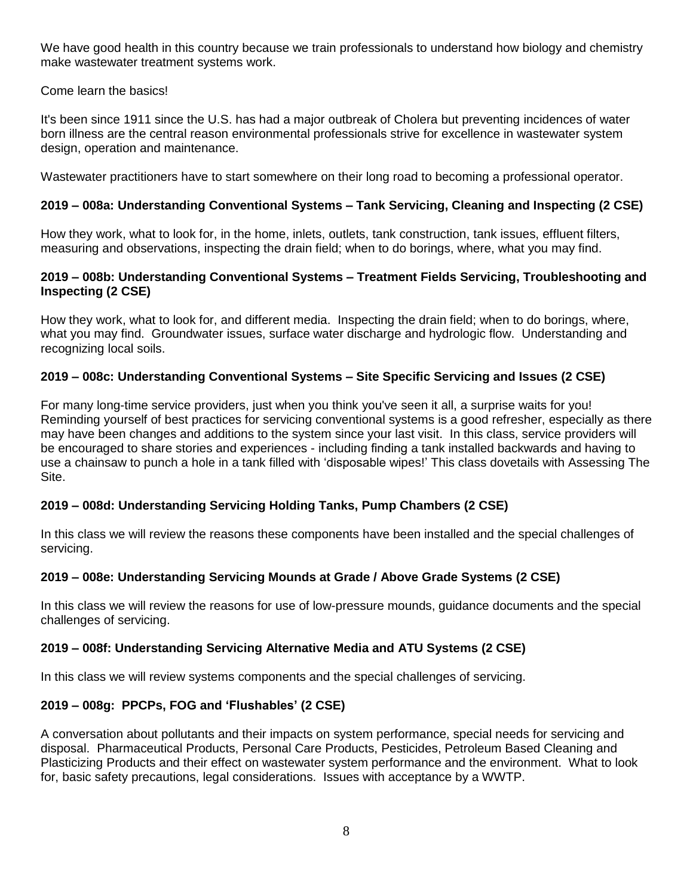We have good health in this country because we train professionals to understand how biology and chemistry make wastewater treatment systems work.

Come learn the basics!

It's been since 1911 since the U.S. has had a major outbreak of Cholera but preventing incidences of water born illness are the central reason environmental professionals strive for excellence in wastewater system design, operation and maintenance.

Wastewater practitioners have to start somewhere on their long road to becoming a professional operator.

## **2019 – 008a: Understanding Conventional Systems – Tank Servicing, Cleaning and Inspecting (2 CSE)**

How they work, what to look for, in the home, inlets, outlets, tank construction, tank issues, effluent filters, measuring and observations, inspecting the drain field; when to do borings, where, what you may find.

#### **2019 – 008b: Understanding Conventional Systems – Treatment Fields Servicing, Troubleshooting and Inspecting (2 CSE)**

How they work, what to look for, and different media. Inspecting the drain field; when to do borings, where, what you may find. Groundwater issues, surface water discharge and hydrologic flow. Understanding and recognizing local soils.

## **2019 – 008c: Understanding Conventional Systems – Site Specific Servicing and Issues (2 CSE)**

For many long-time service providers, just when you think you've seen it all, a surprise waits for you! Reminding yourself of best practices for servicing conventional systems is a good refresher, especially as there may have been changes and additions to the system since your last visit. In this class, service providers will be encouraged to share stories and experiences - including finding a tank installed backwards and having to use a chainsaw to punch a hole in a tank filled with 'disposable wipes!' This class dovetails with Assessing The Site.

## **2019 – 008d: Understanding Servicing Holding Tanks, Pump Chambers (2 CSE)**

In this class we will review the reasons these components have been installed and the special challenges of servicing.

## **2019 – 008e: Understanding Servicing Mounds at Grade / Above Grade Systems (2 CSE)**

In this class we will review the reasons for use of low-pressure mounds, guidance documents and the special challenges of servicing.

#### **2019 – 008f: Understanding Servicing Alternative Media and ATU Systems (2 CSE)**

In this class we will review systems components and the special challenges of servicing.

## **2019 – 008g: PPCPs, FOG and 'Flushables' (2 CSE)**

A conversation about pollutants and their impacts on system performance, special needs for servicing and disposal. Pharmaceutical Products, Personal Care Products, Pesticides, Petroleum Based Cleaning and Plasticizing Products and their effect on wastewater system performance and the environment. What to look for, basic safety precautions, legal considerations. Issues with acceptance by a WWTP.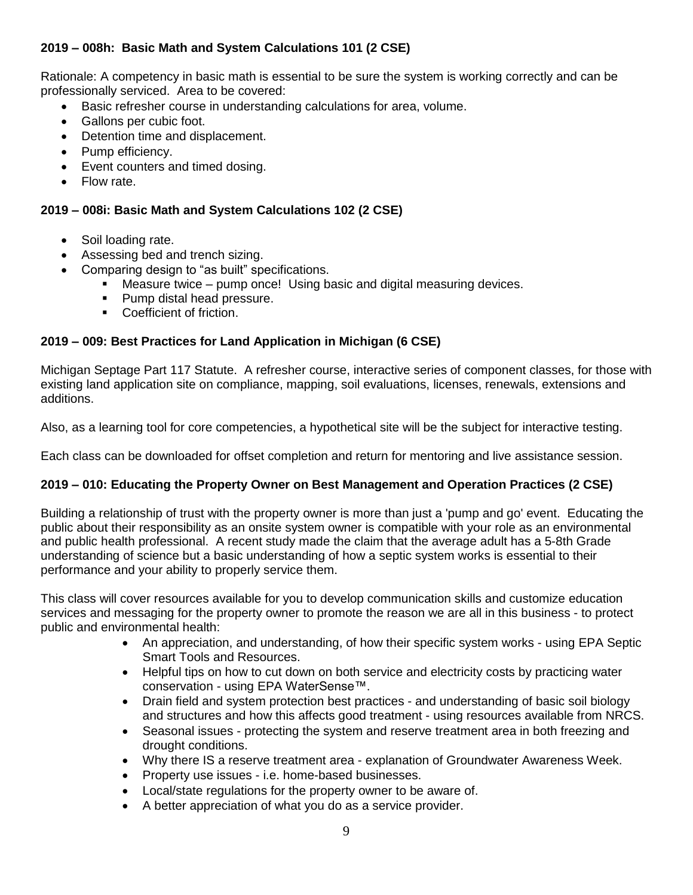## **2019 – 008h: Basic Math and System Calculations 101 (2 CSE)**

Rationale: A competency in basic math is essential to be sure the system is working correctly and can be professionally serviced. Area to be covered:

- Basic refresher course in understanding calculations for area, volume.
- Gallons per cubic foot.
- Detention time and displacement.
- Pump efficiency.
- Event counters and timed dosing.
- Flow rate.

## **2019 – 008i: Basic Math and System Calculations 102 (2 CSE)**

- Soil loading rate.
- Assessing bed and trench sizing.
- Comparing design to "as built" specifications.
	- Measure twice pump once! Using basic and digital measuring devices.
	- Pump distal head pressure.
	- Coefficient of friction.

## **2019 – 009: Best Practices for Land Application in Michigan (6 CSE)**

Michigan Septage Part 117 Statute. A refresher course, interactive series of component classes, for those with existing land application site on compliance, mapping, soil evaluations, licenses, renewals, extensions and additions.

Also, as a learning tool for core competencies, a hypothetical site will be the subject for interactive testing.

Each class can be downloaded for offset completion and return for mentoring and live assistance session.

#### **2019 – 010: Educating the Property Owner on Best Management and Operation Practices (2 CSE)**

Building a relationship of trust with the property owner is more than just a 'pump and go' event. Educating the public about their responsibility as an onsite system owner is compatible with your role as an environmental and public health professional. A recent study made the claim that the average adult has a 5-8th Grade understanding of science but a basic understanding of how a septic system works is essential to their performance and your ability to properly service them.

This class will cover resources available for you to develop communication skills and customize education services and messaging for the property owner to promote the reason we are all in this business - to protect public and environmental health:

- An appreciation, and understanding, of how their specific system works using EPA Septic Smart Tools and Resources.
- Helpful tips on how to cut down on both service and electricity costs by practicing water conservation - using EPA WaterSense™.
- Drain field and system protection best practices and understanding of basic soil biology and structures and how this affects good treatment - using resources available from NRCS.
- Seasonal issues protecting the system and reserve treatment area in both freezing and drought conditions.
- Why there IS a reserve treatment area explanation of Groundwater Awareness Week.
- Property use issues i.e. home-based businesses.
- Local/state regulations for the property owner to be aware of.
- A better appreciation of what you do as a service provider.